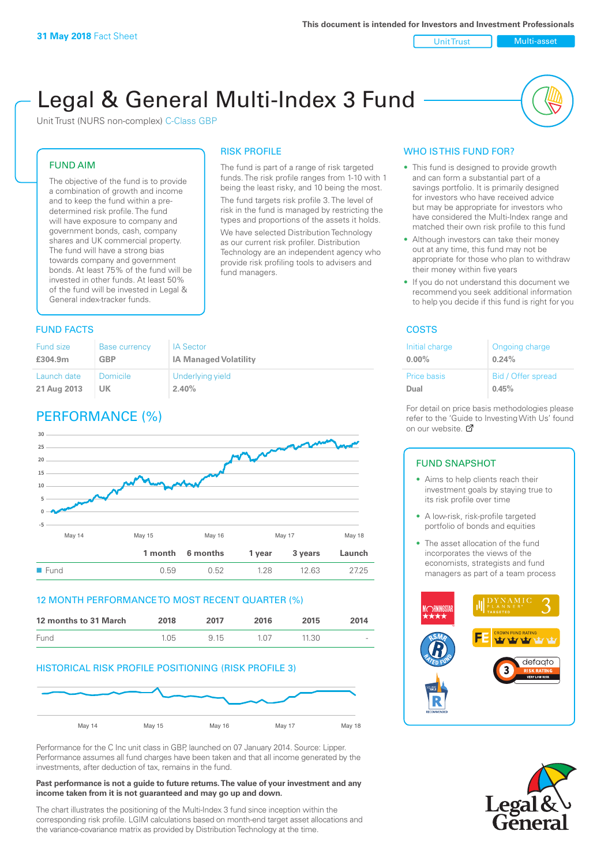Unit Trust Nulti-asset

# Legal & General Multi-Index 3 Fund

RISK PROFILE

fund managers.

The fund is part of a range of risk targeted funds. The risk profile ranges from 1-10 with 1 being the least risky, and 10 being the most. The fund targets risk profile 3. The level of risk in the fund is managed by restricting the types and proportions of the assets it holds. We have selected Distribution Technology as our current risk profiler. Distribution Technology are an independent agency who provide risk profiling tools to advisers and

Unit Trust (NURS non-complex) C-Class GBP

#### FUND AIM

The objective of the fund is to provide a combination of growth and income and to keep the fund within a predetermined risk profile. The fund will have exposure to company and government bonds, cash, company shares and UK commercial property. The fund will have a strong bias towards company and government bonds. At least 75% of the fund will be invested in other funds. At least 50% of the fund will be invested in Legal & General index-tracker funds.

#### **FUND FACTS** COSTS

| Fund size   | <b>Base currency</b> | <b>IA Sector</b>             |
|-------------|----------------------|------------------------------|
| £304.9m     | <b>GBP</b>           | <b>IA Managed Volatility</b> |
| Launch date | <b>Domicile</b>      | Underlying yield             |
| 21 Aug 2013 | UK                   | 2.40%                        |

## PERFORMANCE (%)



#### 12 MONTH PERFORMANCE TO MOST RECENT QUARTER (%)

| 12 months to 31 March | 2018 | 2017 | 2016 | 2015  | 2014   |
|-----------------------|------|------|------|-------|--------|
| Fund                  | 1.05 | 9 15 | 1.07 | 11.30 | $\sim$ |

#### HISTORICAL RISK PROFILE POSITIONING (RISK PROFILE 3)



Performance for the C Inc unit class in GBP, launched on 07 January 2014. Source: Lipper. Performance assumes all fund charges have been taken and that all income generated by the investments, after deduction of tax, remains in the fund.

#### **Past performance is not a guide to future returns. The value of your investment and any income taken from it is not guaranteed and may go up and down.**

The chart illustrates the positioning of the Multi-Index 3 fund since inception within the corresponding risk profile. LGIM calculations based on month-end target asset allocations and the variance-covariance matrix as provided by Distribution Technology at the time.

#### WHO IS THIS FUND FOR?

- This fund is designed to provide growth and can form a substantial part of a savings portfolio. It is primarily designed for investors who have received advice but may be appropriate for investors who have considered the Multi-Index range and matched their own risk profile to this fund
- Although investors can take their money out at any time, this fund may not be appropriate for those who plan to withdraw their money within five years
- If you do not understand this document we recommend you seek additional information to help you decide if this fund is right for you

| Initial charge | Ongoing charge     |
|----------------|--------------------|
| $0.00\%$       | 0.24%              |
| Price basis    | Bid / Offer spread |
| Dual           | 0.45%              |

For detail on price basis methodologies please refer to the 'Guide to Investing With Us' found on our website. *P* 

#### FUND SNAPSHOT

- Aims to help clients reach their investment goals by staying true to its risk profile over time
- A low-risk, risk-profile targeted portfolio of bonds and equities
- The asset allocation of the fund incorporates the views of the economists, strategists and fund managers as part of a team process



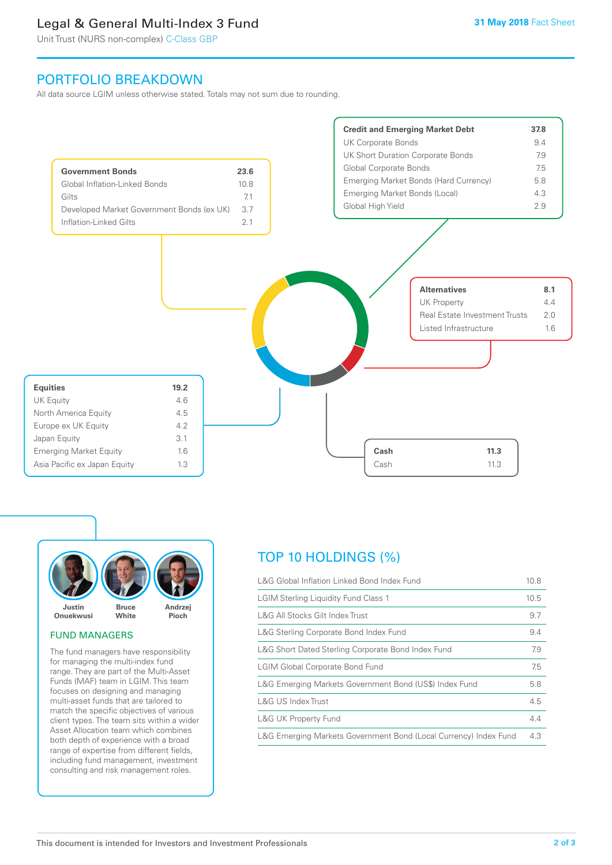## Legal & General Multi-Index 3 Fund

Unit Trust (NURS non-complex) C-Class GBP

## PORTFOLIO BREAKDOWN

All data source LGIM unless otherwise stated. Totals may not sum due to rounding.





#### FUND MANAGERS

The fund managers have responsibility for managing the multi-index fund range. They are part of the Multi-Asset Funds (MAF) team in LGIM. This team focuses on designing and managing multi-asset funds that are tailored to match the specific objectives of various client types. The team sits within a wider Asset Allocation team which combines both depth of experience with a broad range of expertise from different fields, including fund management, investment consulting and risk management roles.

## TOP 10 HOLDINGS (%)

| L&G Global Inflation Linked Bond Index Fund                      | 10.8 |
|------------------------------------------------------------------|------|
| <b>LGIM Sterling Liquidity Fund Class 1</b>                      | 10.5 |
| L&G All Stocks Gilt Index Trust                                  | 9.7  |
| L&G Sterling Corporate Bond Index Fund                           | 9.4  |
| L&G Short Dated Sterling Corporate Bond Index Fund               | 7.9  |
| <b>LGIM Global Corporate Bond Fund</b>                           | 7.5  |
| L&G Emerging Markets Government Bond (US\$) Index Fund           | 5.8  |
| L&G US Index Trust                                               | 4.5  |
| <b>L&amp;G UK Property Fund</b>                                  | 4.4  |
| L&G Emerging Markets Government Bond (Local Currency) Index Fund | 4.3  |